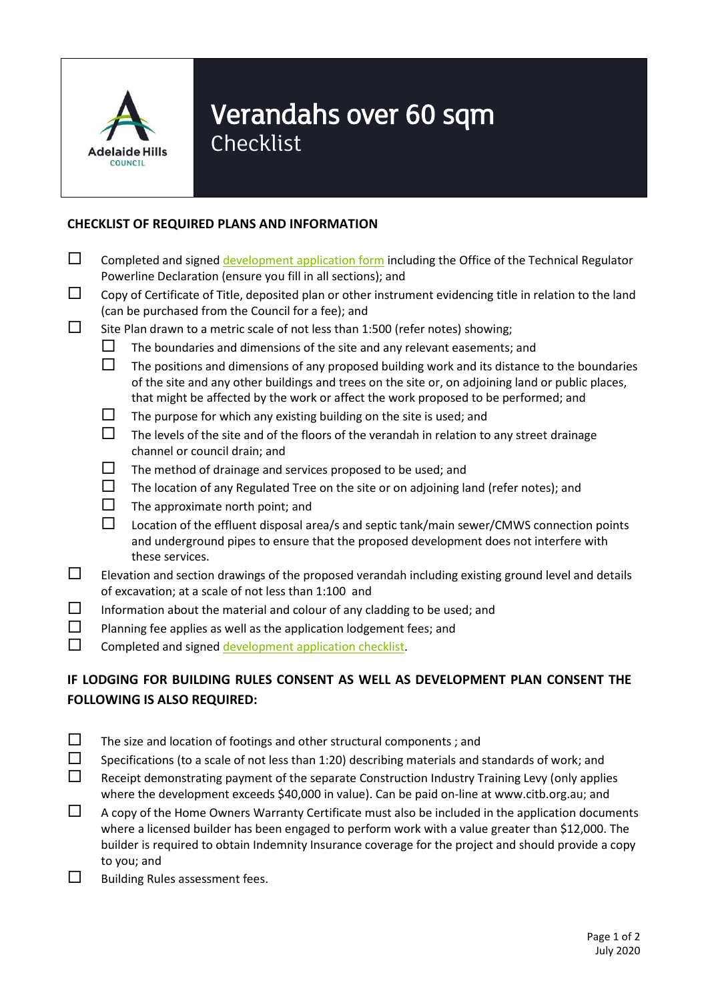

## Verandahs over 60 sqm

Checklist

## **CHECKLIST OF REQUIRED PLANS AND INFORMATION**

- $\Box$  Completed and signe[d development application form](https://www.ahc.sa.gov.au/ahc-resident/Documents/2018%202019%20development%20application%20form%20fee%20sheet%20and%20OTR%20form.pdf) including the Office of the Technical Regulator Powerline Declaration (ensure you fill in all sections); and
- $\Box$  Copy of Certificate of Title, deposited plan or other instrument evidencing title in relation to the land (can be purchased from the Council for a fee); and
- $\square$  Site Plan drawn to a metric scale of not less than 1:500 (refer notes) showing;
	- $\square$  The boundaries and dimensions of the site and any relevant easements; and
	- $\Box$  The positions and dimensions of any proposed building work and its distance to the boundaries of the site and any other buildings and trees on the site or, on adjoining land or public places, that might be affected by the work or affect the work proposed to be performed; and
	- $\Box$  The purpose for which any existing building on the site is used; and
	- $\Box$  The levels of the site and of the floors of the verandah in relation to any street drainage channel or council drain; and
	- $\square$  The method of drainage and services proposed to be used; and
	- $\Box$  The location of any Regulated Tree on the site or on adjoining land (refer notes); and
	- $\Box$  The approximate north point; and
	- $\square$  Location of the effluent disposal area/s and septic tank/main sewer/CMWS connection points and underground pipes to ensure that the proposed development does not interfere with these services.
- $\square$  Elevation and section drawings of the proposed verandah including existing ground level and details of excavation; at a scale of not less than 1:100 and
- $\square$  Information about the material and colour of any cladding to be used; and
- $\square$  Planning fee applies as well as the application lodgement fees; and
- $\square$  Completed and signe[d development application checklist.](https://www.ahc.sa.gov.au/ahc-resident/Documents/development%20application%20checklist.pdf)

## **IF LODGING FOR BUILDING RULES CONSENT AS WELL AS DEVELOPMENT PLAN CONSENT THE FOLLOWING IS ALSO REQUIRED:**

- $\square$  The size and location of footings and other structural components; and
- $\square$  Specifications (to a scale of not less than 1:20) describing materials and standards of work; and
- $\Box$  Receipt demonstrating payment of the separate Construction Industry Training Levy (only applies where the development exceeds \$40,000 in value). Can be paid on-line at [www.citb.org.au;](http://www.citb.org.au/) and
- $\Box$  A copy of the Home Owners Warranty Certificate must also be included in the application documents where a licensed builder has been engaged to perform work with a value greater than \$12,000. The builder is required to obtain Indemnity Insurance coverage for the project and should provide a copy to you; and
- $\square$  Building Rules assessment fees.